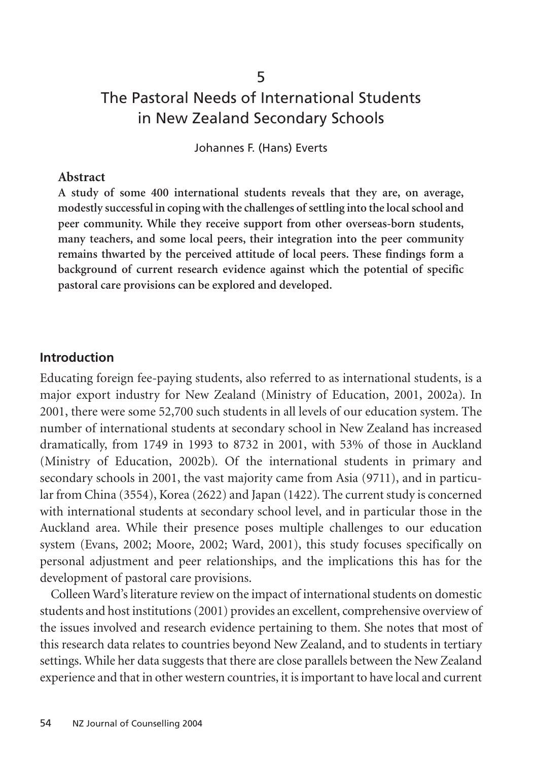# The Pastoral Needs of International Students in New Zealand Secondary Schools

5

Johannes F. (Hans) Everts

#### **Abstract**

**A study of some 400 international students reveals that they are, on average, modestly successful in coping with the challenges of settling into the local school and peer community. While they receive support from other overseas-born students, many teachers, and some local peers, their integration into the peer community remains thwarted by the perceived attitude of local peers. These findings form a background of current research evidence against which the potential of specific pastoral care provisions can be explored and developed.**

#### **Introduction**

Educating foreign fee-paying students, also referred to as international students, is a major export industry for New Zealand (Ministry of Education, 2001, 2002a). In 2001, there were some 52,700 such students in all levels of our education system. The number of international students at secondary school in New Zealand has increased dramatically, from 1749 in 1993 to 8732 in 2001, with 53% of those in Auckland (Ministry of Education, 2002b). Of the international students in primary and secondary schools in 2001, the vast majority came from Asia (9711), and in particular from China (3554), Korea (2622) and Japan (1422). The current study is concerned with international students at secondary school level, and in particular those in the Auckland area. While their presence poses multiple challenges to our education system (Evans, 2002; Moore, 2002; Ward, 2001), this study focuses specifically on personal adjustment and peer relationships, and the implications this has for the development of pastoral care provisions.

Colleen Ward's literature review on the impact of international students on domestic students and host institutions (2001) provides an excellent, comprehensive overview of the issues involved and research evidence pertaining to them. She notes that most of this research data relates to countries beyond New Zealand, and to students in tertiary settings. While her data suggests that there are close parallels between the New Zealand experience and that in other western countries, it is important to have local and current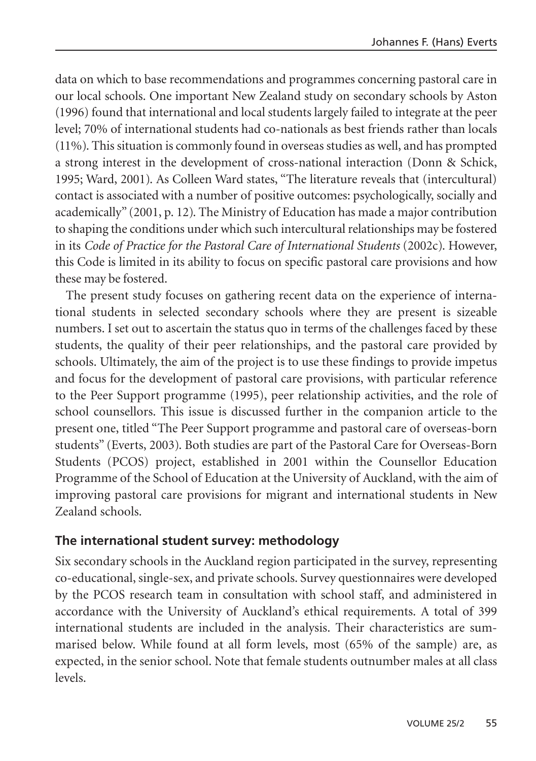data on which to base recommendations and programmes concerning pastoral care in our local schools. One important New Zealand study on secondary schools by Aston (1996) found that international and local students largely failed to integrate at the peer level; 70% of international students had co-nationals as best friends rather than locals (11%). This situation is commonly found in overseas studies as well, and has prompted a strong interest in the development of cross-national interaction (Donn & Schick, 1995; Ward, 2001). As Colleen Ward states, "The literature reveals that (intercultural) contact is associated with a number of positive outcomes: psychologically, socially and academically" (2001, p. 12). The Ministry of Education has made a major contribution to shaping the conditions under which such intercultural relationships may be fostered in its *Code of Practice for the Pastoral Care of International Students* (2002c). However, this Code is limited in its ability to focus on specific pastoral care provisions and how these may be fostered.

The present study focuses on gathering recent data on the experience of international students in selected secondary schools where they are present is sizeable numbers. I set out to ascertain the status quo in terms of the challenges faced by these students, the quality of their peer relationships, and the pastoral care provided by schools. Ultimately, the aim of the project is to use these findings to provide impetus and focus for the development of pastoral care provisions, with particular reference to the Peer Support programme (1995), peer relationship activities, and the role of school counsellors. This issue is discussed further in the companion article to the present one, titled "The Peer Support programme and pastoral care of overseas-born students" (Everts, 2003). Both studies are part of the Pastoral Care for Overseas-Born Students (PCOS) project, established in 2001 within the Counsellor Education Programme of the School of Education at the University of Auckland, with the aim of improving pastoral care provisions for migrant and international students in New Zealand schools.

## **The international student survey: methodology**

Six secondary schools in the Auckland region participated in the survey, representing co-educational, single-sex, and private schools. Survey questionnaires were developed by the PCOS research team in consultation with school staff, and administered in accordance with the University of Auckland's ethical requirements. A total of 399 international students are included in the analysis. Their characteristics are summarised below. While found at all form levels, most (65% of the sample) are, as expected, in the senior school. Note that female students outnumber males at all class levels.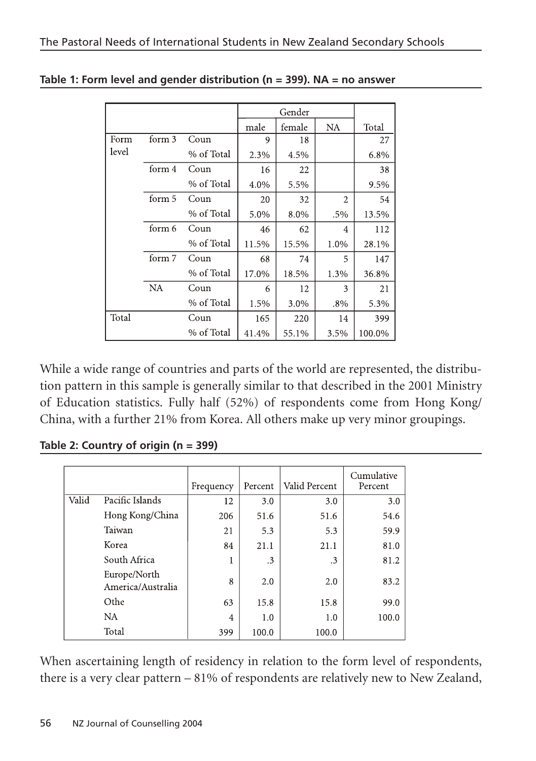|       |           |            |       | Gender |                |        |
|-------|-----------|------------|-------|--------|----------------|--------|
|       |           |            | male  | female | <b>NA</b>      | Total  |
| Form  | form 3    | Coun       | 9     | 18     |                | 27     |
| level |           | % of Total | 2.3%  | 4.5%   |                | 6.8%   |
|       | form 4    | Coun       | 16    | 22     |                | 38     |
|       |           | % of Total | 4.0%  | 5.5%   |                | 9.5%   |
|       | form 5    | Coun       | 20    | 32     | $\overline{2}$ | 54     |
|       |           | % of Total | 5.0%  | 8.0%   | .5%            | 13.5%  |
|       | form 6    | Coun       | 46    | 62     | 4              | 112    |
|       |           | % of Total | 11.5% | 15.5%  | 1.0%           | 28.1%  |
|       | form 7    | Coun       | 68    | 74     | 5              | 147    |
|       |           | % of Total | 17.0% | 18.5%  | 1.3%           | 36.8%  |
|       | <b>NA</b> | Coun       | 6     | 12     | 3              | 21     |
|       |           | % of Total | 1.5%  | 3.0%   | $.8\%$         | 5.3%   |
| Total |           | Coun       | 165   | 220    | 14             | 399    |
|       |           | % of Total | 41.4% | 55.1%  | 3.5%           | 100.0% |

**Table 1: Form level and gender distribution (n = 399). NA = no answer**

While a wide range of countries and parts of the world are represented, the distribution pattern in this sample is generally similar to that described in the 2001 Ministry of Education statistics. Fully half (52%) of respondents come from Hong Kong/ China, with a further 21% from Korea. All others make up very minor groupings.

**Table 2: Country of origin (n = 399)**

|       |                                   | Frequency | Percent              | Valid Percent        | Cumulative<br>Percent |
|-------|-----------------------------------|-----------|----------------------|----------------------|-----------------------|
| Valid | Pacific Islands                   | 12        | 3.0                  | 3.0                  | 3.0                   |
|       | Hong Kong/China                   | 206       | 51.6                 | 51.6                 | 54.6                  |
|       | Taiwan                            | 21        | 5.3                  | 5.3                  | 59.9                  |
|       | Korea                             | 84        | 21.1                 | 21.1                 | 81.0                  |
|       | South Africa                      | 1         | $\cdot$ <sup>3</sup> | $\cdot$ <sup>3</sup> | 81.2                  |
|       | Europe/North<br>America/Australia | 8         | 2.0                  | 2.0                  | 83.2                  |
|       | Othe                              | 63        | 15.8                 | 15.8                 | 99.0                  |
|       | <b>NA</b>                         | 4         | 1.0                  | 1.0                  | 100.0                 |
|       | Total                             | 399       | 100.0                | 100.0                |                       |

When ascertaining length of residency in relation to the form level of respondents, there is a very clear pattern – 81% of respondents are relatively new to New Zealand,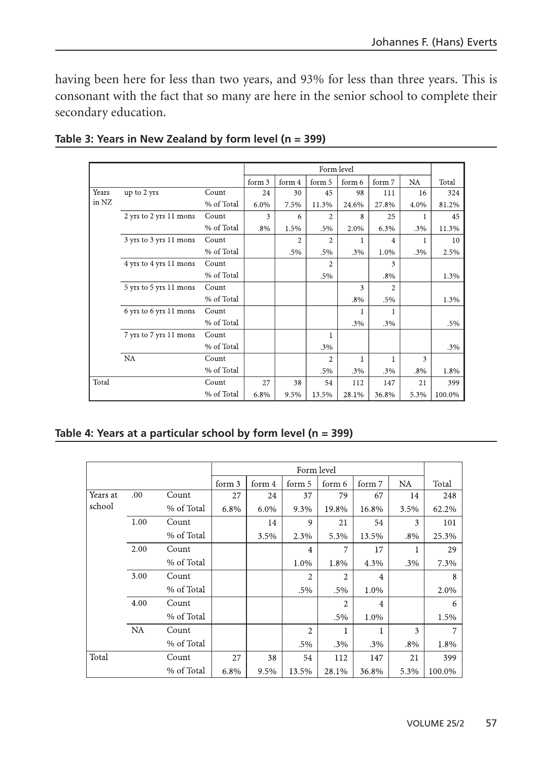having been here for less than two years, and 93% for less than three years. This is consonant with the fact that so many are here in the senior school to complete their secondary education.

|       |                        |            |        |        | Form level     |        |                |        |        |
|-------|------------------------|------------|--------|--------|----------------|--------|----------------|--------|--------|
|       |                        |            |        |        |                |        |                |        |        |
|       |                        |            | form 3 | form 4 | form 5         | form 6 | form 7         | NA     | Total  |
| Years | up to 2 yrs            | Count      | 24     | 30     | 45             | 98     | 111            | 16     | 324    |
| in NZ |                        | % of Total | 6.0%   | 7.5%   | 11.3%          | 24.6%  | 27.8%          | 4.0%   | 81.2%  |
|       | 2 yrs to 2 yrs 11 mons | Count      | 3      | 6      | 2              | 8      | 25             | 1      | 45     |
|       |                        | % of Total | .8%    | 1.5%   | .5%            | 2.0%   | 6.3%           | .3%    | 11.3%  |
|       | 3 yrs to 3 yrs 11 mons | Count      |        | 2      | $\overline{c}$ |        | 4              |        | 10     |
|       |                        | % of Total |        | .5%    | .5%            | .3%    | 1.0%           | .3%    | 2.5%   |
|       | 4 yrs to 4 yrs 11 mons | Count      |        |        | 2              |        | 3              |        |        |
|       |                        | % of Total |        |        | .5%            |        | .8%            |        | 1.3%   |
|       | 5 yrs to 5 yrs 11 mons | Count      |        |        |                | 3      | $\overline{2}$ |        |        |
|       |                        | % of Total |        |        |                | $.8\%$ | .5%            |        | 1.3%   |
|       | 6 yrs to 6 yrs 11 mons | Count      |        |        |                | 1      |                |        |        |
|       |                        | % of Total |        |        |                | .3%    | .3%            |        | .5%    |
|       | 7 yrs to 7 yrs 11 mons | Count      |        |        | ı              |        |                |        |        |
|       |                        | % of Total |        |        | .3%            |        |                |        | .3%    |
|       | <b>NA</b>              | Count      |        |        | $\overline{c}$ | 1      |                | 3      |        |
|       |                        | % of Total |        |        | .5%            | .3%    | .3%            | $.8\%$ | 1.8%   |
| Total |                        | Count      | 27     | 38     | 54             | 112    | 147            | 21     | 399    |
|       |                        | % of Total | 6.8%   | 9.5%   | 13.5%          | 28.1%  | 36.8%          | 5.3%   | 100.0% |

**Table 3: Years in New Zealand by form level (n = 399)**

|  | Table 4: Years at a particular school by form level (n = 399) |  |
|--|---------------------------------------------------------------|--|
|  |                                                               |  |

|          |           |            |        | Form level |                |                |                |           |        |  |
|----------|-----------|------------|--------|------------|----------------|----------------|----------------|-----------|--------|--|
|          |           |            | form 3 | form 4     | form 5         | form 6         | form 7         | <b>NA</b> | Total  |  |
| Years at | .00       | Count      | 27     | 24         | 37             | 79             | 67             | 14        | 248    |  |
| school   |           | % of Total | 6.8%   | 6.0%       | 9.3%           | 19.8%          | 16.8%          | 3.5%      | 62.2%  |  |
|          | 1.00      | Count      |        | 14         | 9              | 21             | 54             | 3         | 101    |  |
|          |           | % of Total |        | 3.5%       | 2.3%           | 5.3%           | 13.5%          | $.8\%$    | 25.3%  |  |
|          | 2.00      | Count      |        |            | $\overline{4}$ | 7              | 17             |           | 29     |  |
|          |           | % of Total |        |            | 1.0%           | 1.8%           | 4.3%           | .3%       | 7.3%   |  |
|          | 3.00      | Count      |        |            | $\overline{2}$ | $\overline{2}$ | $\overline{4}$ |           | 8      |  |
|          |           | % of Total |        |            | .5%            | .5%            | 1.0%           |           | 2.0%   |  |
|          | 4.00      | Count      |        |            |                | 2              | $\overline{4}$ |           | 6      |  |
|          |           | % of Total |        |            |                | .5%            | 1.0%           |           | 1.5%   |  |
|          | <b>NA</b> | Count      |        |            | $\overline{2}$ |                |                | 3         | 7      |  |
|          |           | % of Total |        |            | .5%            | .3%            | .3%            | .8%       | 1.8%   |  |
| Total    |           | Count      | 27     | 38         | 54             | 112            | 147            | 21        | 399    |  |
|          |           | % of Total | 6.8%   | 9.5%       | 13.5%          | 28.1%          | 36.8%          | 5.3%      | 100.0% |  |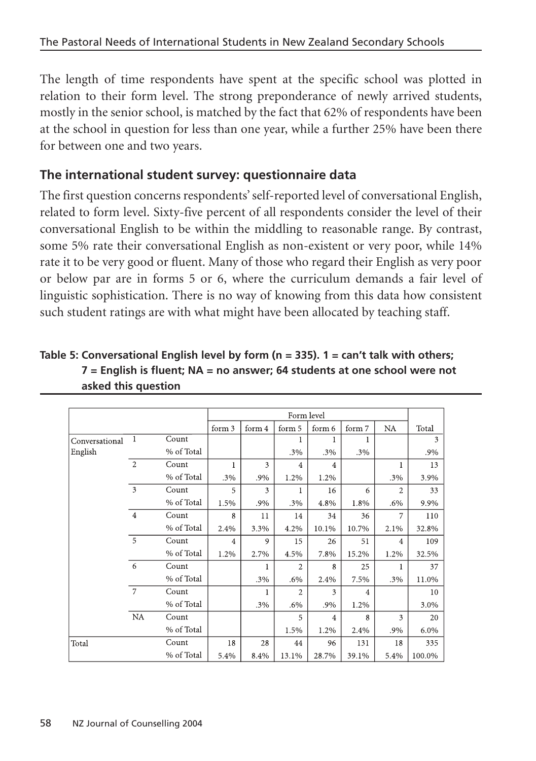The length of time respondents have spent at the specific school was plotted in relation to their form level. The strong preponderance of newly arrived students, mostly in the senior school, is matched by the fact that 62% of respondents have been at the school in question for less than one year, while a further 25% have been there for between one and two years.

## **The international student survey: questionnaire data**

The first question concerns respondents' self-reported level of conversational English, related to form level. Sixty-five percent of all respondents consider the level of their conversational English to be within the middling to reasonable range. By contrast, some 5% rate their conversational English as non-existent or very poor, while 14% rate it to be very good or fluent. Many of those who regard their English as very poor or below par are in forms 5 or 6, where the curriculum demands a fair level of linguistic sophistication. There is no way of knowing from this data how consistent such student ratings are with what might have been allocated by teaching staff.

| Table 5: Conversational English level by form ( $n = 335$ ). 1 = can't talk with others; |
|------------------------------------------------------------------------------------------|
| $7$ = English is fluent: NA = no answer: 64 students at one school were not              |
| asked this question                                                                      |

|                |                         |            |                |        | Form level     |                |                |                |        |
|----------------|-------------------------|------------|----------------|--------|----------------|----------------|----------------|----------------|--------|
|                |                         |            |                |        |                |                |                |                |        |
|                |                         |            | form 3         | form 4 | form 5         | form 6         | form 7         | NA             | Total  |
| Conversational | 1                       | Count      |                |        |                |                |                |                | 3      |
| English        |                         | % of Total |                |        | .3%            | .3%            | $.3\%$         |                | .9%    |
|                | $\overline{2}$          | Count      | 1              | 3      | $\overline{4}$ | $\overline{4}$ |                | 1              | 13     |
|                |                         | % of Total | .3%            | .9%    | 1.2%           | 1.2%           |                | .3%            | 3.9%   |
|                | $\overline{\mathbf{3}}$ | Count      | 5              | 3      |                | 16             | 6              | $\overline{c}$ | 33     |
|                |                         | % of Total | 1.5%           | .9%    | $.3\%$         | 4.8%           | 1.8%           | $.6\%$         | 9.9%   |
|                | $\overline{4}$          | Count      | 8              | 11     | 14             | 34             | 36             | 7              | 110    |
|                |                         | % of Total | 2.4%           | 3.3%   | 4.2%           | 10.1%          | 10.7%          | 2.1%           | 32.8%  |
|                | 5                       | Count      | $\overline{4}$ | 9      | 15             | 26             | 51             | $\overline{4}$ | 109    |
|                |                         | % of Total | 1.2%           | 2.7%   | 4.5%           | 7.8%           | 15.2%          | 1.2%           | 32.5%  |
|                | 6                       | Count      |                |        | $\overline{2}$ | 8              | 25             |                | 37     |
|                |                         | % of Total |                | .3%    | $.6\%$         | 2.4%           | 7.5%           | .3%            | 11.0%  |
|                | $\overline{7}$          | Count      |                |        | 2              | 3              | $\overline{4}$ |                | 10     |
|                |                         | % of Total |                | .3%    | $.6\%$         | .9%            | 1.2%           |                | 3.0%   |
|                | NA                      | Count      |                |        | 5              | 4              | 8              | 3              | 20     |
|                |                         | % of Total |                |        | 1.5%           | 1.2%           | 2.4%           | .9%            | 6.0%   |
| Total          |                         | Count      | 18             | 28     | 44             | 96             | 131            | 18             | 335    |
|                |                         | % of Total | 5.4%           | 8.4%   | 13.1%          | 28.7%          | 39.1%          | 5.4%           | 100.0% |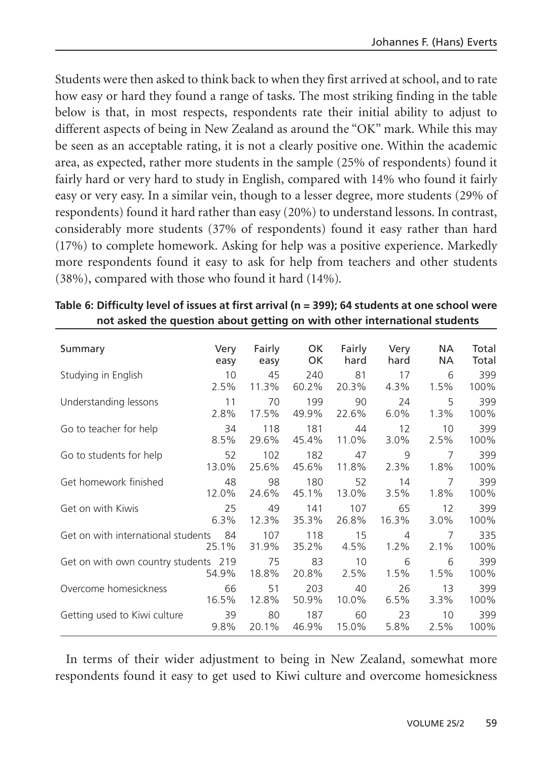Students were then asked to think back to when they first arrived at school, and to rate how easy or hard they found a range of tasks. The most striking finding in the table below is that, in most respects, respondents rate their initial ability to adjust to different aspects of being in New Zealand as around the "OK" mark. While this may be seen as an acceptable rating, it is not a clearly positive one. Within the academic area, as expected, rather more students in the sample (25% of respondents) found it fairly hard or very hard to study in English, compared with 14% who found it fairly easy or very easy. In a similar vein, though to a lesser degree, more students (29% of respondents) found it hard rather than easy (20%) to understand lessons. In contrast, considerably more students (37% of respondents) found it easy rather than hard (17%) to complete homework. Asking for help was a positive experience. Markedly more respondents found it easy to ask for help from teachers and other students (38%), compared with those who found it hard (14%).

| Summary                               | Very  | Fairly       | OK           | Fairly     | Very                      | NA.             | Total       |
|---------------------------------------|-------|--------------|--------------|------------|---------------------------|-----------------|-------------|
|                                       | easy  | easy         | OK           | hard       | hard                      | <b>NA</b>       | Total       |
| Studying in English                   | 10    | 45           | 240          | 81         | 17                        | 6               | 399         |
|                                       | 2.5%  | 11.3%        | 60.2%        | 20.3%      | 4.3%                      | 1.5%            | 100%        |
| Understanding lessons                 | 11    | 70           | 199          | 90         | 24                        | 5               | 399         |
|                                       | 2.8%  | 17.5%        | 49.9%        | 22.6%      | 6.0%                      | $1.3\%$         | 100%        |
| Go to teacher for help                | 34    | 118          | 181          | 44         | 12                        | 10 <sup>°</sup> | 399         |
|                                       | 8.5%  | 29.6%        | 45.4%        | 11.0%      | 3.0%                      | 2.5%            | 100%        |
| Go to students for help               | 52    | 102          | 182          | 47         | 9                         | $\overline{7}$  | 399         |
|                                       | 13.0% | 25.6%        | 45.6%        | 11.8%      | $2.3\%$                   | 1.8%            | 100%        |
| Get homework finished                 | 48    | 98           | 180          | 52         | 14                        | $\overline{7}$  | 399         |
|                                       | 12.0% | 24.6%        | 45.1%        | 13.0%      | 3.5%                      | 1.8%            | 100%        |
| Get on with Kiwis                     | 25    | 49           | 141          | 107        | 65                        | 12              | 399         |
|                                       | 6.3%  | 12.3%        | 35.3%        | 26.8%      | 16.3%                     | $3.0\%$         | 100%        |
| Get on with international students 84 | 25.1% | 107<br>31.9% | 118<br>35.2% | 15<br>4.5% | $\overline{4}$<br>$1.2\%$ | 7<br>$2.1\%$    | 335<br>100% |
| Get on with own country students 219  | 54.9% | 75<br>18.8%  | 83<br>20.8%  | 10<br>2.5% | 6<br>1.5%                 | 6<br>1.5%       | 399<br>100% |
| Overcome homesickness                 | 66    | 51           | 203          | 40         | 26                        | 13              | 399         |
|                                       | 16.5% | 12.8%        | 50.9%        | 10.0%      | 6.5%                      | $3.3\%$         | 100%        |
| Getting used to Kiwi culture          | 39    | 80           | 187          | 60         | 23                        | 10              | 399         |
|                                       | 9.8%  | 20.1%        | 46.9%        | 15.0%      | 5.8%                      | 2.5%            | 100%        |

| Table 6: Difficulty level of issues at first arrival (n = 399); 64 students at one school were |
|------------------------------------------------------------------------------------------------|
| not asked the question about getting on with other international students                      |

In terms of their wider adjustment to being in New Zealand, somewhat more respondents found it easy to get used to Kiwi culture and overcome homesickness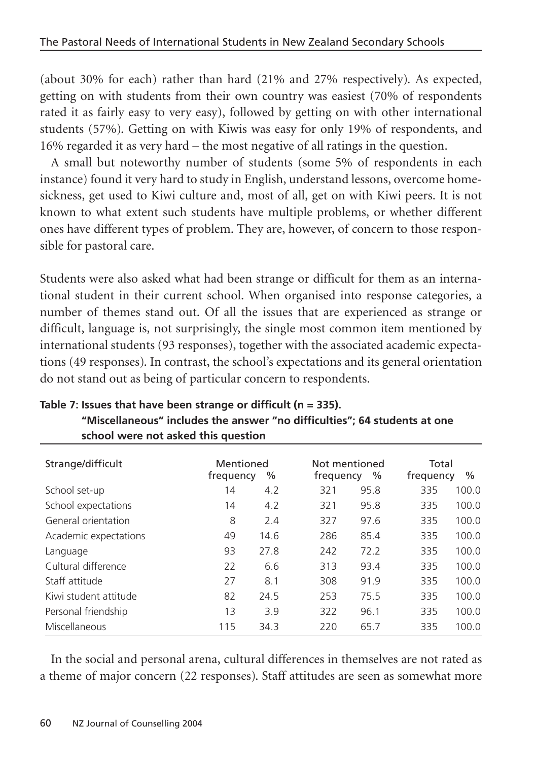(about 30% for each) rather than hard (21% and 27% respectively). As expected, getting on with students from their own country was easiest (70% of respondents rated it as fairly easy to very easy), followed by getting on with other international students (57%). Getting on with Kiwis was easy for only 19% of respondents, and 16% regarded it as very hard – the most negative of all ratings in the question.

A small but noteworthy number of students (some 5% of respondents in each instance) found it very hard to study in English, understand lessons, overcome homesickness, get used to Kiwi culture and, most of all, get on with Kiwi peers. It is not known to what extent such students have multiple problems, or whether different ones have different types of problem. They are, however, of concern to those responsible for pastoral care.

Students were also asked what had been strange or difficult for them as an international student in their current school. When organised into response categories, a number of themes stand out. Of all the issues that are experienced as strange or difficult, language is, not surprisingly, the single most common item mentioned by international students (93 responses), together with the associated academic expectations (49 responses). In contrast, the school's expectations and its general orientation do not stand out as being of particular concern to respondents.

|     | $\%$ |                        | $\%$ | Total<br>frequency         | $\frac{0}{0}$ |
|-----|------|------------------------|------|----------------------------|---------------|
| 14  | 4.2  | 321                    | 95.8 | 335                        | 100.0         |
| 14  | 4.2  | 321                    | 95.8 | 335                        | 100.0         |
| 8   | 2.4  | 327                    | 97.6 | 335                        | 100.0         |
| 49  | 14.6 | 286                    | 85.4 | 335                        | 100.0         |
| 93  | 27.8 | 242                    | 72.2 | 335                        | 100.0         |
| 22  | 6.6  | 313                    | 93.4 | 335                        | 100.0         |
| 27  | 8.1  | 308                    | 91.9 | 335                        | 100.0         |
| 82  | 24.5 | 253                    | 75.5 | 335                        | 100.0         |
| 13  | 3.9  | 322                    | 96.1 | 335                        | 100.0         |
| 115 | 34.3 | 220                    | 65.7 | 335                        | 100.0         |
|     |      | Mentioned<br>frequency |      | Not mentioned<br>frequency |               |

**Table 7: Issues that have been strange or difficult (n = 335). "Miscellaneous" includes the answer "no difficulties"; 64 students at one school were not asked this question**

In the social and personal arena, cultural differences in themselves are not rated as a theme of major concern (22 responses). Staff attitudes are seen as somewhat more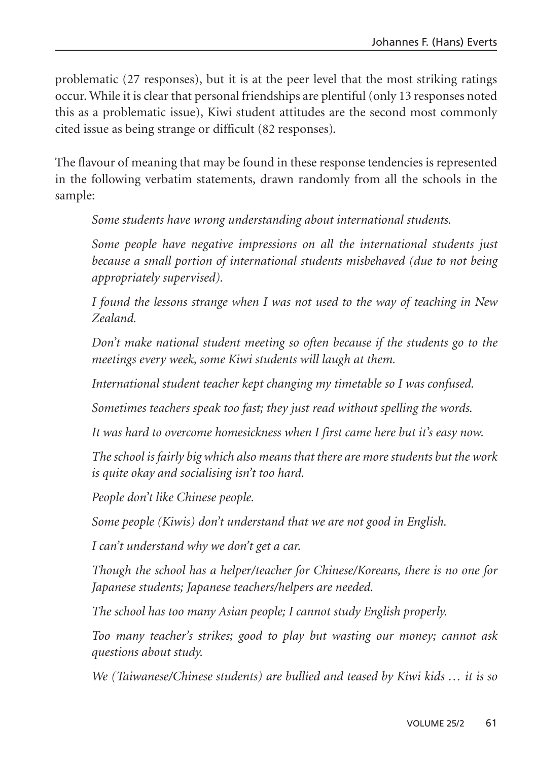problematic (27 responses), but it is at the peer level that the most striking ratings occur. While it is clear that personal friendships are plentiful (only 13 responses noted this as a problematic issue), Kiwi student attitudes are the second most commonly cited issue as being strange or difficult (82 responses).

The flavour of meaning that may be found in these response tendencies is represented in the following verbatim statements, drawn randomly from all the schools in the sample:

*Some students have wrong understanding about international students.*

*Some people have negative impressions on all the international students just because a small portion of international students misbehaved (due to not being appropriately supervised).*

*I found the lessons strange when I was not used to the way of teaching in New Zealand.*

*Don't make national student meeting so often because if the students go to the meetings every week, some Kiwi students will laugh at them.*

*International student teacher kept changing my timetable so I was confused.*

*Sometimes teachers speak too fast; they just read without spelling the words.*

*It was hard to overcome homesickness when I first came here but it's easy now.*

*The school is fairly big which also means that there are more students but the work is quite okay and socialising isn't too hard.*

*People don't like Chinese people.*

*Some people (Kiwis) don't understand that we are not good in English.*

*I can't understand why we don't get a car.*

*Though the school has a helper/teacher for Chinese/Koreans, there is no one for Japanese students; Japanese teachers/helpers are needed.*

*The school has too many Asian people; I cannot study English properly.*

*Too many teacher's strikes; good to play but wasting our money; cannot ask questions about study.*

*We (Taiwanese/Chinese students) are bullied and teased by Kiwi kids … it is so*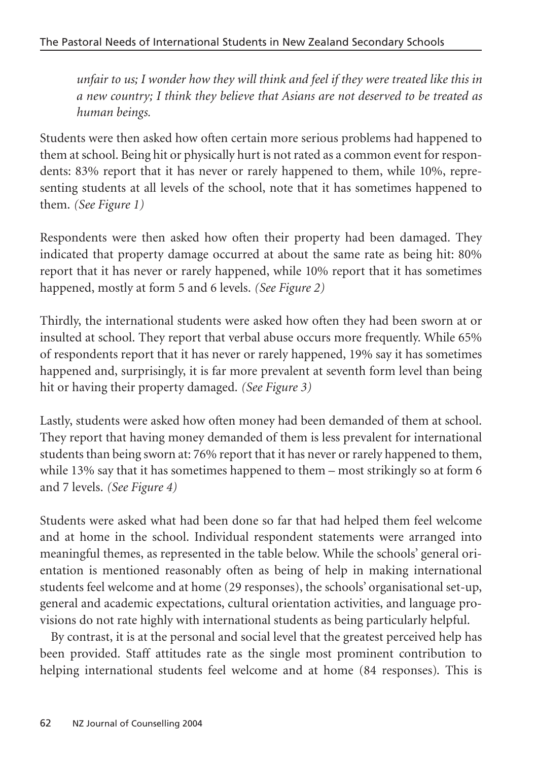*unfair to us; I wonder how they will think and feel if they were treated like this in a new country; I think they believe that Asians are not deserved to be treated as human beings.*

Students were then asked how often certain more serious problems had happened to them at school. Being hit or physically hurt is not rated as a common event for respondents: 83% report that it has never or rarely happened to them, while 10%, representing students at all levels of the school, note that it has sometimes happened to them. *(See Figure 1)*

Respondents were then asked how often their property had been damaged. They indicated that property damage occurred at about the same rate as being hit: 80% report that it has never or rarely happened, while 10% report that it has sometimes happened, mostly at form 5 and 6 levels. *(See Figure 2)*

Thirdly, the international students were asked how often they had been sworn at or insulted at school. They report that verbal abuse occurs more frequently. While 65% of respondents report that it has never or rarely happened, 19% say it has sometimes happened and, surprisingly, it is far more prevalent at seventh form level than being hit or having their property damaged. *(See Figure 3)*

Lastly, students were asked how often money had been demanded of them at school. They report that having money demanded of them is less prevalent for international students than being sworn at: 76% report that it has never or rarely happened to them, while 13% say that it has sometimes happened to them – most strikingly so at form 6 and 7 levels. *(See Figure 4)*

Students were asked what had been done so far that had helped them feel welcome and at home in the school. Individual respondent statements were arranged into meaningful themes, as represented in the table below. While the schools' general orientation is mentioned reasonably often as being of help in making international students feel welcome and at home (29 responses), the schools' organisational set-up, general and academic expectations, cultural orientation activities, and language provisions do not rate highly with international students as being particularly helpful.

By contrast, it is at the personal and social level that the greatest perceived help has been provided. Staff attitudes rate as the single most prominent contribution to helping international students feel welcome and at home (84 responses). This is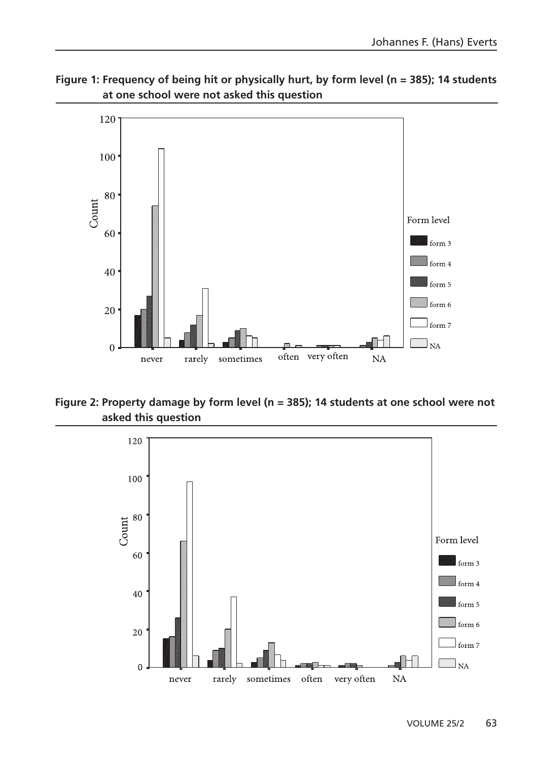



**Figure 2: Property damage by form level (n = 385); 14 students at one school were not asked this question**

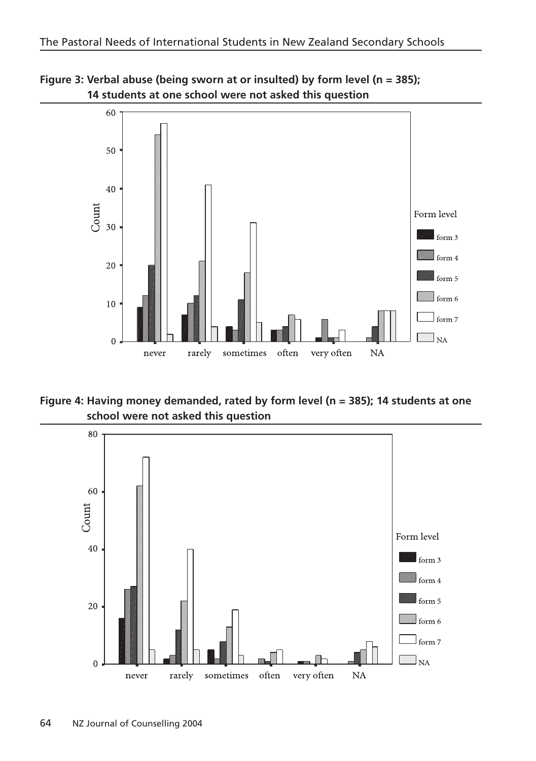



**Figure 4: Having money demanded, rated by form level (n = 385); 14 students at one school were not asked this question**

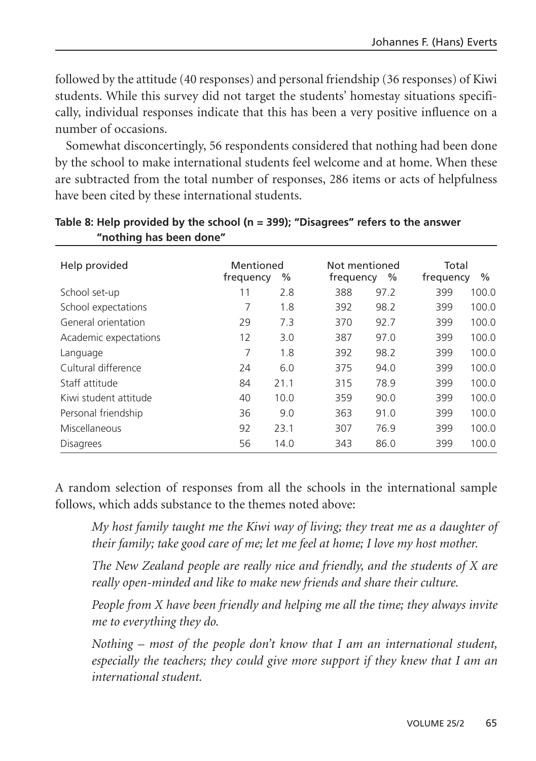followed by the attitude (40 responses) and personal friendship (36 responses) of Kiwi students. While this survey did not target the students' homestay situations specifically, individual responses indicate that this has been a very positive influence on a number of occasions.

Somewhat disconcertingly, 56 respondents considered that nothing had been done by the school to make international students feel welcome and at home. When these are subtracted from the total number of responses, 286 items or acts of helpfulness have been cited by these international students.

| Help provided         | Mentioned<br>frequency | %    | Not mentioned<br>frequency<br>$\%$ | Total<br>frequency | $\%$  |
|-----------------------|------------------------|------|------------------------------------|--------------------|-------|
| School set-up         | 11                     | 2.8  | 388<br>97.2                        | 399                | 100.0 |
| School expectations   | 7                      | 1.8  | 392<br>98.2                        | 399                | 100.0 |
| General orientation   | 29                     | 7.3  | 370<br>92.7                        | 399                | 100.0 |
| Academic expectations | 12                     | 3.0  | 387<br>97.0                        | 399                | 100.0 |
| Language              | 7                      | 1.8  | 392<br>98.2                        | 399                | 100.0 |
| Cultural difference   | 24                     | 6.0  | 375<br>94.0                        | 399                | 100.0 |
| Staff attitude        | 84                     | 21.1 | 78.9<br>315                        | 399                | 100.0 |
| Kiwi student attitude | 40                     | 10.0 | 359<br>90.0                        | 399                | 100.0 |
| Personal friendship   | 36                     | 9.0  | 91.0<br>363                        | 399                | 100.0 |
| Miscellaneous         | 92                     | 23.1 | 76.9<br>307                        | 399                | 100.0 |
| <b>Disagrees</b>      | 56                     | 14.0 | 86.0<br>343                        | 399                | 100.0 |

#### **Table 8: Help provided by the school (n = 399); "Disagrees" refers to the answer "nothing has been done"**

A random selection of responses from all the schools in the international sample follows, which adds substance to the themes noted above:

*My host family taught me the Kiwi way of living; they treat me as a daughter of their family; take good care of me; let me feel at home; I love my host mother.*

*The New Zealand people are really nice and friendly, and the students of X are really open-minded and like to make new friends and share their culture.*

*People from X have been friendly and helping me all the time; they always invite me to everything they do.*

*Nothing – most of the people don't know that I am an international student, especially the teachers; they could give more support if they knew that I am an international student.*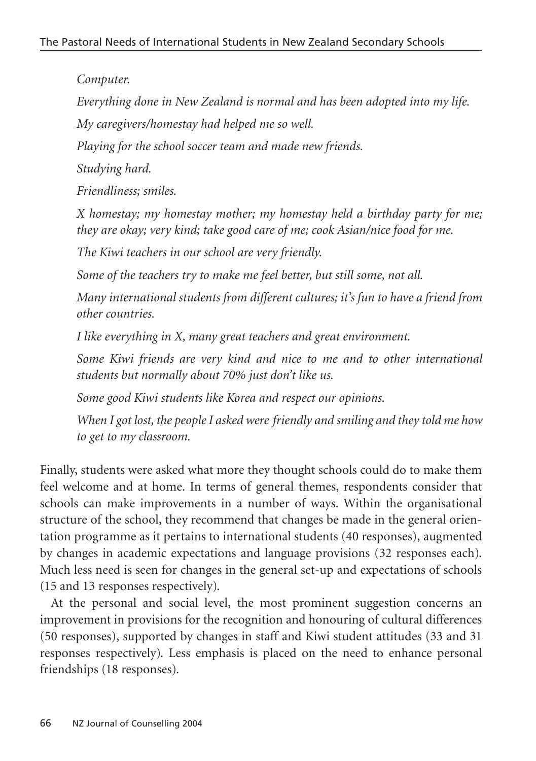*Computer.*

*Everything done in New Zealand is normal and has been adopted into my life.*

*My caregivers/homestay had helped me so well.*

*Playing for the school soccer team and made new friends.*

*Studying hard.*

*Friendliness; smiles.*

*X homestay; my homestay mother; my homestay held a birthday party for me; they are okay; very kind; take good care of me; cook Asian/nice food for me.*

*The Kiwi teachers in our school are very friendly.*

*Some of the teachers try to make me feel better, but still some, not all.*

*Many international students from different cultures; it's fun to have a friend from other countries.*

*I like everything in X, many great teachers and great environment.*

*Some Kiwi friends are very kind and nice to me and to other international students but normally about 70% just don't like us.*

*Some good Kiwi students like Korea and respect our opinions.*

*When I got lost, the people I asked were friendly and smiling and they told me how to get to my classroom.*

Finally, students were asked what more they thought schools could do to make them feel welcome and at home. In terms of general themes, respondents consider that schools can make improvements in a number of ways. Within the organisational structure of the school, they recommend that changes be made in the general orientation programme as it pertains to international students (40 responses), augmented by changes in academic expectations and language provisions (32 responses each). Much less need is seen for changes in the general set-up and expectations of schools (15 and 13 responses respectively).

At the personal and social level, the most prominent suggestion concerns an improvement in provisions for the recognition and honouring of cultural differences (50 responses), supported by changes in staff and Kiwi student attitudes (33 and 31 responses respectively). Less emphasis is placed on the need to enhance personal friendships (18 responses).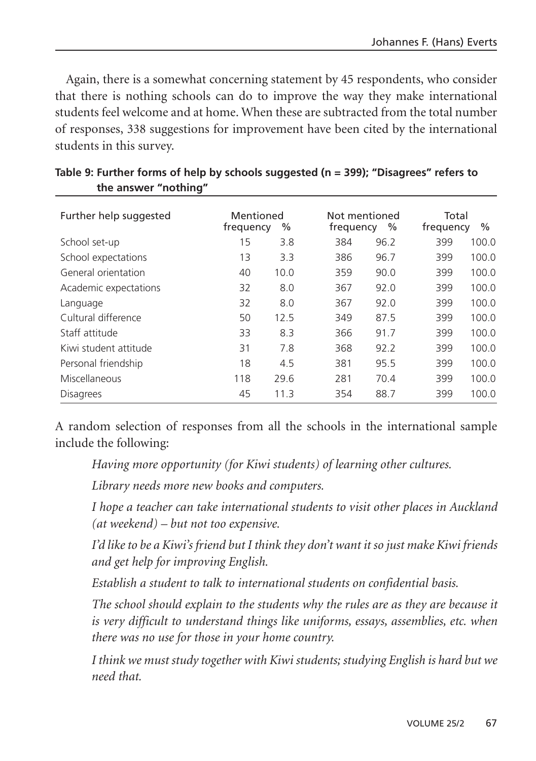Again, there is a somewhat concerning statement by 45 respondents, who consider that there is nothing schools can do to improve the way they make international students feel welcome and at home. When these are subtracted from the total number of responses, 338 suggestions for improvement have been cited by the international students in this survey.

| Further help suggested | Mentioned<br>frequency | %    | frequency | Not mentioned<br>$\%$ | Total<br>frequency | $\%$  |
|------------------------|------------------------|------|-----------|-----------------------|--------------------|-------|
| School set-up          | 15                     | 3.8  | 384       | 96.2                  | 399                | 100.0 |
| School expectations    | 13                     | 3.3  | 386       | 96.7                  | 399                | 100.0 |
| General orientation    | 40                     | 10.0 | 359       | 90.0                  | 399                | 100.0 |
| Academic expectations  | 32                     | 8.0  | 367       | 92.0                  | 399                | 100.0 |
| Language               | 32                     | 8.0  | 367       | 92.0                  | 399                | 100.0 |
| Cultural difference    | 50                     | 12.5 | 349       | 87.5                  | 399                | 100.0 |
| Staff attitude         | 33                     | 8.3  | 366       | 91.7                  | 399                | 100.0 |
| Kiwi student attitude  | 31                     | 7.8  | 368       | 92.2                  | 399                | 100.0 |
| Personal friendship    | 18                     | 4.5  | 381       | 95.5                  | 399                | 100.0 |
| Miscellaneous          | 118                    | 29.6 | 281       | 70.4                  | 399                | 100.0 |
| <b>Disagrees</b>       | 45                     | 11.3 | 354       | 88.7                  | 399                | 100.0 |

| Table 9: Further forms of help by schools suggested (n = 399); "Disagrees" refers to |  |
|--------------------------------------------------------------------------------------|--|
| the answer "nothing"                                                                 |  |

A random selection of responses from all the schools in the international sample include the following:

*Having more opportunity (for Kiwi students) of learning other cultures.*

*Library needs more new books and computers.*

*I hope a teacher can take international students to visit other places in Auckland (at weekend) – but not too expensive.*

*I'd like to be a Kiwi's friend but I think they don't want it so just make Kiwi friends and get help for improving English.*

*Establish a student to talk to international students on confidential basis.*

*The school should explain to the students why the rules are as they are because it is very difficult to understand things like uniforms, essays, assemblies, etc. when there was no use for those in your home country.*

*I think we must study together with Kiwi students; studying English is hard but we need that.*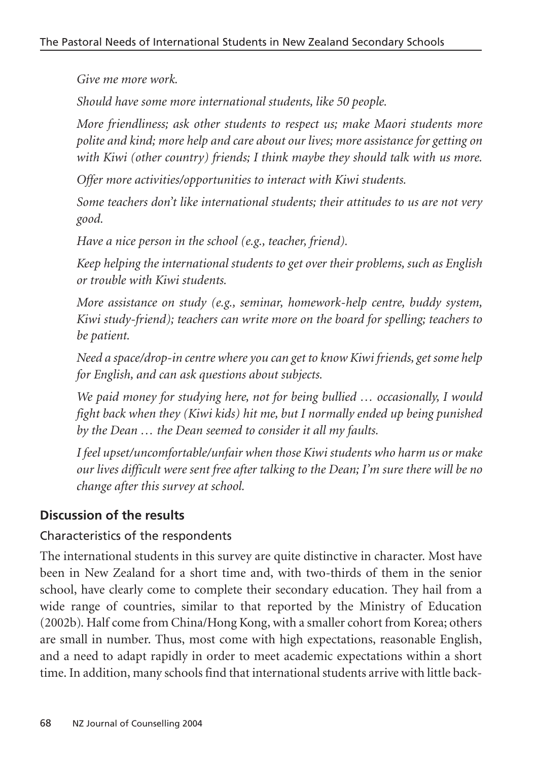*Give me more work.*

*Should have some more international students, like 50 people.*

*More friendliness; ask other students to respect us; make Maori students more polite and kind; more help and care about our lives; more assistance for getting on with Kiwi (other country) friends; I think maybe they should talk with us more.*

*Offer more activities/opportunities to interact with Kiwi students.*

*Some teachers don't like international students; their attitudes to us are not very good.*

*Have a nice person in the school (e.g., teacher, friend).*

*Keep helping the international students to get over their problems, such as English or trouble with Kiwi students.*

*More assistance on study (e.g., seminar, homework-help centre, buddy system, Kiwi study-friend); teachers can write more on the board for spelling; teachers to be patient.*

*Need a space/drop-in centre where you can get to know Kiwi friends, get some help for English, and can ask questions about subjects.*

*We paid money for studying here, not for being bullied … occasionally, I would fight back when they (Kiwi kids) hit me, but I normally ended up being punished by the Dean … the Dean seemed to consider it all my faults.*

*I feel upset/uncomfortable/unfair when those Kiwi students who harm us or make our lives difficult were sent free after talking to the Dean; I'm sure there will be no change after this survey at school.*

# **Discussion of the results**

## Characteristics of the respondents

The international students in this survey are quite distinctive in character. Most have been in New Zealand for a short time and, with two-thirds of them in the senior school, have clearly come to complete their secondary education. They hail from a wide range of countries, similar to that reported by the Ministry of Education (2002b). Half come from China/Hong Kong, with a smaller cohort from Korea; others are small in number. Thus, most come with high expectations, reasonable English, and a need to adapt rapidly in order to meet academic expectations within a short time. In addition, many schools find that international students arrive with little back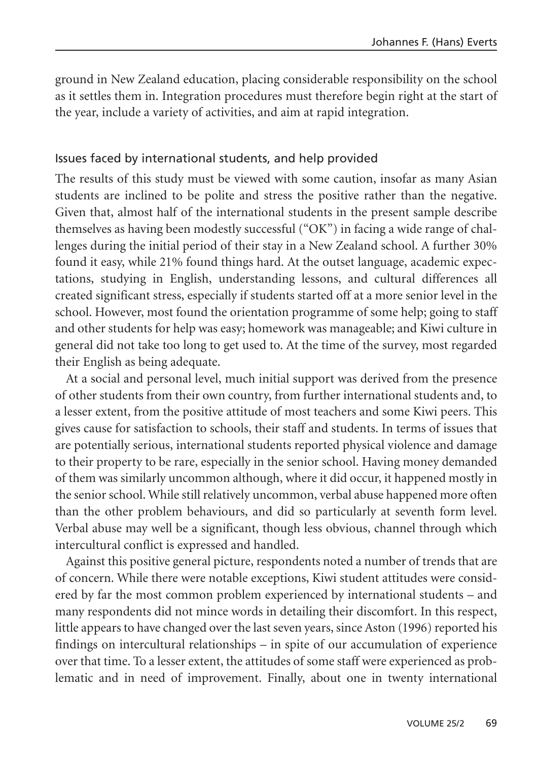ground in New Zealand education, placing considerable responsibility on the school as it settles them in. Integration procedures must therefore begin right at the start of the year, include a variety of activities, and aim at rapid integration.

#### Issues faced by international students, and help provided

The results of this study must be viewed with some caution, insofar as many Asian students are inclined to be polite and stress the positive rather than the negative. Given that, almost half of the international students in the present sample describe themselves as having been modestly successful ("OK") in facing a wide range of challenges during the initial period of their stay in a New Zealand school. A further 30% found it easy, while 21% found things hard. At the outset language, academic expectations, studying in English, understanding lessons, and cultural differences all created significant stress, especially if students started off at a more senior level in the school. However, most found the orientation programme of some help; going to staff and other students for help was easy; homework was manageable; and Kiwi culture in general did not take too long to get used to. At the time of the survey, most regarded their English as being adequate.

At a social and personal level, much initial support was derived from the presence of other students from their own country, from further international students and, to a lesser extent, from the positive attitude of most teachers and some Kiwi peers. This gives cause for satisfaction to schools, their staff and students. In terms of issues that are potentially serious, international students reported physical violence and damage to their property to be rare, especially in the senior school. Having money demanded of them was similarly uncommon although, where it did occur, it happened mostly in the senior school. While still relatively uncommon, verbal abuse happened more often than the other problem behaviours, and did so particularly at seventh form level. Verbal abuse may well be a significant, though less obvious, channel through which intercultural conflict is expressed and handled.

Against this positive general picture, respondents noted a number of trends that are of concern. While there were notable exceptions, Kiwi student attitudes were considered by far the most common problem experienced by international students – and many respondents did not mince words in detailing their discomfort. In this respect, little appears to have changed over the last seven years, since Aston (1996) reported his findings on intercultural relationships – in spite of our accumulation of experience over that time. To a lesser extent, the attitudes of some staff were experienced as problematic and in need of improvement. Finally, about one in twenty international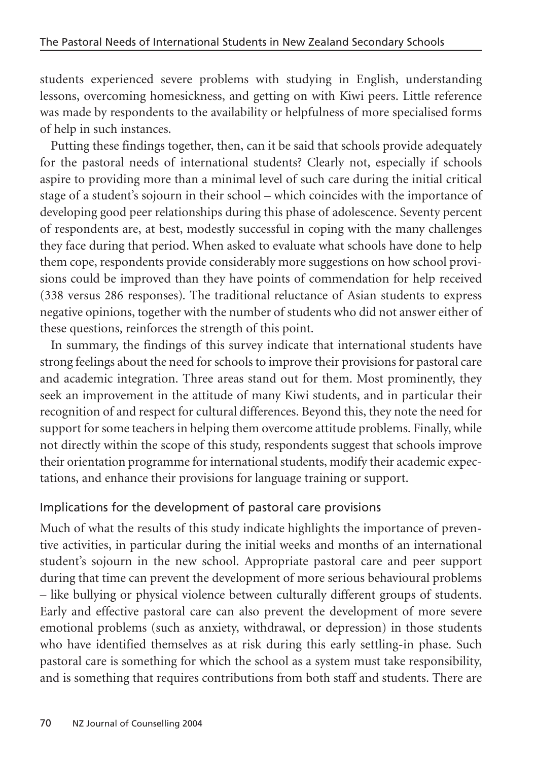students experienced severe problems with studying in English, understanding lessons, overcoming homesickness, and getting on with Kiwi peers. Little reference was made by respondents to the availability or helpfulness of more specialised forms of help in such instances.

Putting these findings together, then, can it be said that schools provide adequately for the pastoral needs of international students? Clearly not, especially if schools aspire to providing more than a minimal level of such care during the initial critical stage of a student's sojourn in their school – which coincides with the importance of developing good peer relationships during this phase of adolescence. Seventy percent of respondents are, at best, modestly successful in coping with the many challenges they face during that period. When asked to evaluate what schools have done to help them cope, respondents provide considerably more suggestions on how school provisions could be improved than they have points of commendation for help received (338 versus 286 responses). The traditional reluctance of Asian students to express negative opinions, together with the number of students who did not answer either of these questions, reinforces the strength of this point.

In summary, the findings of this survey indicate that international students have strong feelings about the need for schools to improve their provisions for pastoral care and academic integration. Three areas stand out for them. Most prominently, they seek an improvement in the attitude of many Kiwi students, and in particular their recognition of and respect for cultural differences. Beyond this, they note the need for support for some teachers in helping them overcome attitude problems. Finally, while not directly within the scope of this study, respondents suggest that schools improve their orientation programme for international students, modify their academic expectations, and enhance their provisions for language training or support.

#### Implications for the development of pastoral care provisions

Much of what the results of this study indicate highlights the importance of preventive activities, in particular during the initial weeks and months of an international student's sojourn in the new school. Appropriate pastoral care and peer support during that time can prevent the development of more serious behavioural problems – like bullying or physical violence between culturally different groups of students. Early and effective pastoral care can also prevent the development of more severe emotional problems (such as anxiety, withdrawal, or depression) in those students who have identified themselves as at risk during this early settling-in phase. Such pastoral care is something for which the school as a system must take responsibility, and is something that requires contributions from both staff and students. There are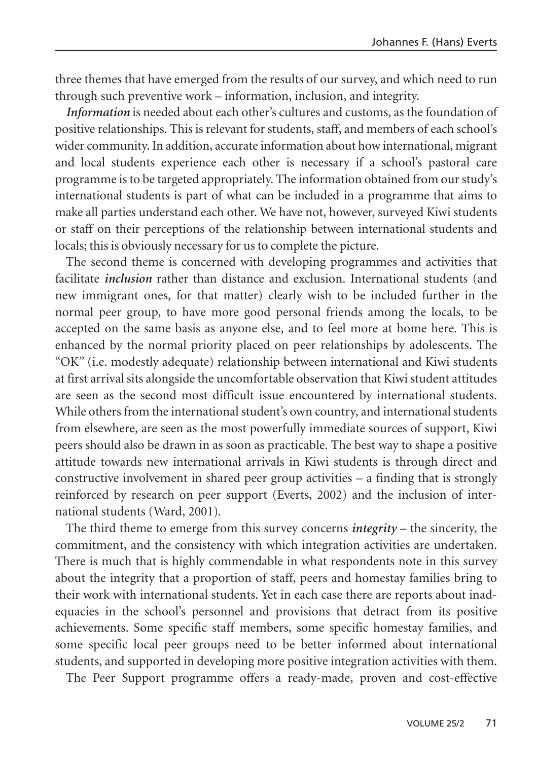three themes that have emerged from the results of our survey, and which need to run through such preventive work – information, inclusion, and integrity.

*Information* is needed about each other's cultures and customs, as the foundation of positive relationships. This is relevant for students, staff, and members of each school's wider community. In addition, accurate information about how international, migrant and local students experience each other is necessary if a school's pastoral care programme is to be targeted appropriately. The information obtained from our study's international students is part of what can be included in a programme that aims to make all parties understand each other. We have not, however, surveyed Kiwi students or staff on their perceptions of the relationship between international students and locals; this is obviously necessary for us to complete the picture.

The second theme is concerned with developing programmes and activities that facilitate *inclusion* rather than distance and exclusion. International students (and new immigrant ones, for that matter) clearly wish to be included further in the normal peer group, to have more good personal friends among the locals, to be accepted on the same basis as anyone else, and to feel more at home here. This is enhanced by the normal priority placed on peer relationships by adolescents. The "OK" (i.e. modestly adequate) relationship between international and Kiwi students at first arrival sits alongside the uncomfortable observation that Kiwi student attitudes are seen as the second most difficult issue encountered by international students. While others from the international student's own country, and international students from elsewhere, are seen as the most powerfully immediate sources of support, Kiwi peers should also be drawn in as soon as practicable. The best way to shape a positive attitude towards new international arrivals in Kiwi students is through direct and constructive involvement in shared peer group activities – a finding that is strongly reinforced by research on peer support (Everts, 2002) and the inclusion of international students (Ward, 2001).

The third theme to emerge from this survey concerns *integrity* – the sincerity, the commitment, and the consistency with which integration activities are undertaken. There is much that is highly commendable in what respondents note in this survey about the integrity that a proportion of staff, peers and homestay families bring to their work with international students. Yet in each case there are reports about inadequacies in the school's personnel and provisions that detract from its positive achievements. Some specific staff members, some specific homestay families, and some specific local peer groups need to be better informed about international students, and supported in developing more positive integration activities with them.

The Peer Support programme offers a ready-made, proven and cost-effective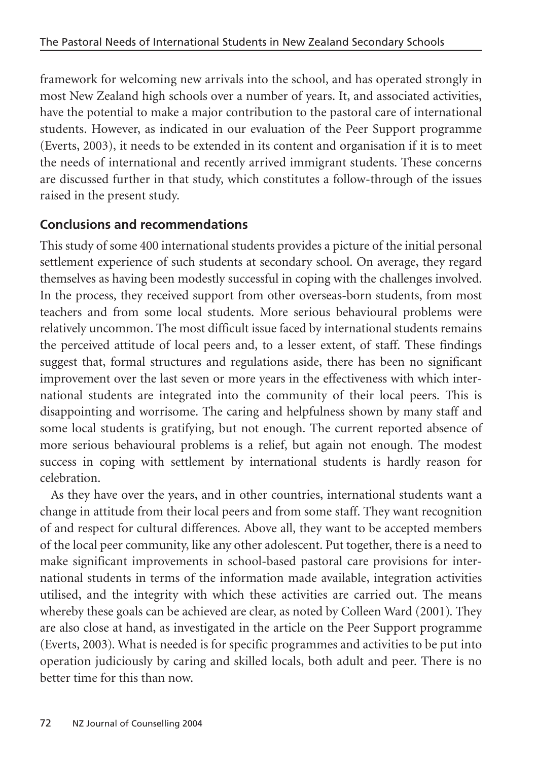framework for welcoming new arrivals into the school, and has operated strongly in most New Zealand high schools over a number of years. It, and associated activities, have the potential to make a major contribution to the pastoral care of international students. However, as indicated in our evaluation of the Peer Support programme (Everts, 2003), it needs to be extended in its content and organisation if it is to meet the needs of international and recently arrived immigrant students. These concerns are discussed further in that study, which constitutes a follow-through of the issues raised in the present study.

# **Conclusions and recommendations**

This study of some 400 international students provides a picture of the initial personal settlement experience of such students at secondary school. On average, they regard themselves as having been modestly successful in coping with the challenges involved. In the process, they received support from other overseas-born students, from most teachers and from some local students. More serious behavioural problems were relatively uncommon. The most difficult issue faced by international students remains the perceived attitude of local peers and, to a lesser extent, of staff. These findings suggest that, formal structures and regulations aside, there has been no significant improvement over the last seven or more years in the effectiveness with which international students are integrated into the community of their local peers. This is disappointing and worrisome. The caring and helpfulness shown by many staff and some local students is gratifying, but not enough. The current reported absence of more serious behavioural problems is a relief, but again not enough. The modest success in coping with settlement by international students is hardly reason for celebration.

As they have over the years, and in other countries, international students want a change in attitude from their local peers and from some staff. They want recognition of and respect for cultural differences. Above all, they want to be accepted members of the local peer community, like any other adolescent. Put together, there is a need to make significant improvements in school-based pastoral care provisions for international students in terms of the information made available, integration activities utilised, and the integrity with which these activities are carried out. The means whereby these goals can be achieved are clear, as noted by Colleen Ward (2001). They are also close at hand, as investigated in the article on the Peer Support programme (Everts, 2003). What is needed is for specific programmes and activities to be put into operation judiciously by caring and skilled locals, both adult and peer. There is no better time for this than now.